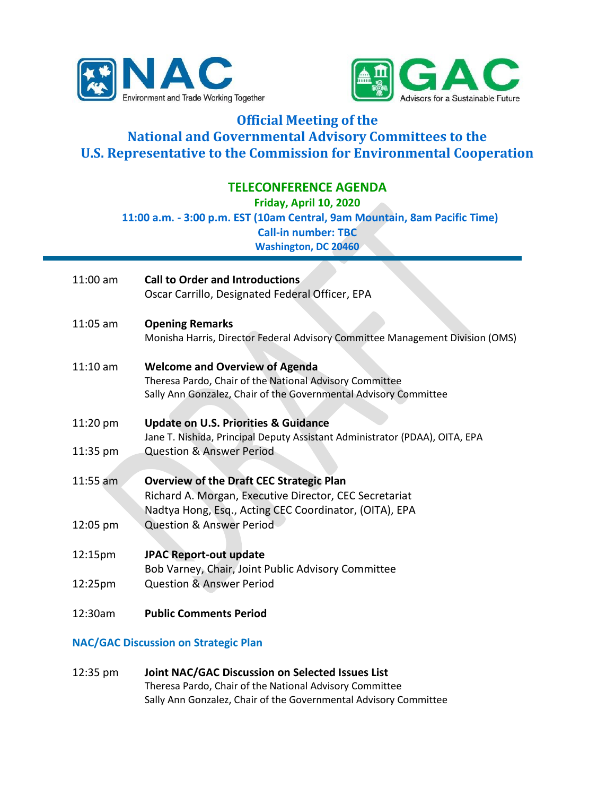



## **Official Meeting of the National and Governmental Advisory Committees to the U.S. Representative to the Commission for Environmental Cooperation**

## **TELECONFERENCE AGENDA**

**Friday, April 10, 2020**

**11:00 a.m. - 3:00 p.m. EST (10am Central, 9am Mountain, 8am Pacific Time)**

**Call-in number: TBC**

**Washington, DC 20460**

| $11:00$ am | <b>Call to Order and Introductions</b><br>Oscar Carrillo, Designated Federal Officer, EPA                                                                            |
|------------|----------------------------------------------------------------------------------------------------------------------------------------------------------------------|
| $11:05$ am | <b>Opening Remarks</b><br>Monisha Harris, Director Federal Advisory Committee Management Division (OMS)                                                              |
| $11:10$ am | <b>Welcome and Overview of Agenda</b><br>Theresa Pardo, Chair of the National Advisory Committee<br>Sally Ann Gonzalez, Chair of the Governmental Advisory Committee |
| 11:20 pm   | <b>Update on U.S. Priorities &amp; Guidance</b><br>Jane T. Nishida, Principal Deputy Assistant Administrator (PDAA), OITA, EPA                                       |
| 11:35 pm   | <b>Question &amp; Answer Period</b>                                                                                                                                  |
| 11:55 am   | <b>Overview of the Draft CEC Strategic Plan</b><br>Richard A. Morgan, Executive Director, CEC Secretariat<br>Nadtya Hong, Esq., Acting CEC Coordinator, (OITA), EPA  |
| 12:05 pm   | <b>Question &amp; Answer Period</b>                                                                                                                                  |
| 12:15pm    | <b>JPAC Report-out update</b><br>Bob Varney, Chair, Joint Public Advisory Committee                                                                                  |
| 12:25pm    | <b>Question &amp; Answer Period</b>                                                                                                                                  |
| 12:30am    | <b>Public Comments Period</b>                                                                                                                                        |

## **NAC/GAC Discussion on Strategic Plan**

12:35 pm **Joint NAC/GAC Discussion on Selected Issues List** Theresa Pardo, Chair of the National Advisory Committee Sally Ann Gonzalez, Chair of the Governmental Advisory Committee